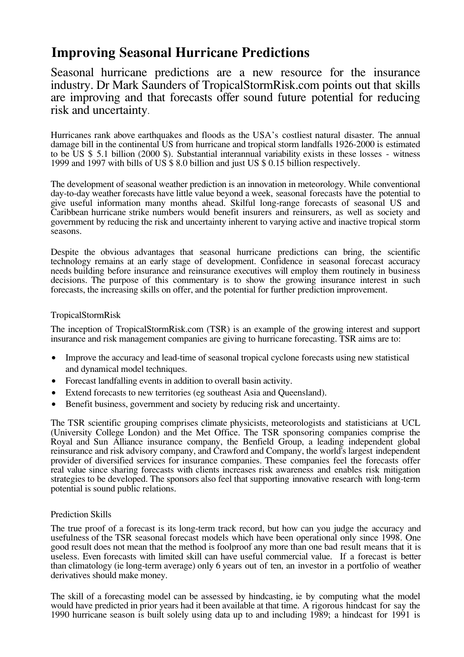## **Improving Seasonal Hurricane Predictions**

Seasonal hurricane predictions are a new resource for the insurance industry. Dr Mark Saunders of TropicalStormRisk.com points out that skills are improving and that forecasts offer sound future potential for reducing risk and uncertainty.

Hurricanes rank above earthquakes and floods as the USA's costliest natural disaster. The annual damage bill in the continental US from hurricane and tropical storm landfalls 1926-2000 is estimated to be US \$ 5.1 billion (2000 \$). Substantial interannual variability exists in these losses - witness 1999 and 1997 with bills of US \$ 8.0 billion and just US \$ 0.15 billion respectively.

The development of seasonal weather prediction is an innovation in meteorology. While conventional day-to-day weather forecasts have little value beyond a week, seasonal forecasts have the potential to give useful information many months ahead. Skilful long-range forecasts of seasonal US and Caribbean hurricane strike numbers would benefit insurers and reinsurers, as well as society and government by reducing the risk and uncertainty inherent to varying active and inactive tropical storm seasons.

Despite the obvious advantages that seasonal hurricane predictions can bring, the scientific technology remains at an early stage of development. Confidence in seasonal forecast accuracy needs building before insurance and reinsurance executives will employ them routinely in business decisions. The purpose of this commentary is to show the growing insurance interest in such forecasts, the increasing skills on offer, and the potential for further prediction improvement.

## TropicalStormRisk

The inception of TropicalStormRisk.com (TSR) is an example of the growing interest and support insurance and risk management companies are giving to hurricane forecasting. TSR aims are to:

- Improve the accuracy and lead-time of seasonal tropical cyclone forecasts using new statistical and dynamical model techniques.
- Forecast landfalling events in addition to overall basin activity.
- Extend forecasts to new territories (eg southeast Asia and Queensland).
- Benefit business, government and society by reducing risk and uncertainty.

The TSR scientific grouping comprises climate physicists, meteorologists and statisticians at UCL (University College London) and the Met Office. The TSR sponsoring companies comprise the Royal and Sun Alliance insurance company, the Benfield Group, a leading independent global reinsurance and risk advisory company, and Crawford and Company, the world's largest independent provider of diversified services for insurance companies. These companies feel the forecasts offer real value since sharing forecasts with clients increases risk awareness and enables risk mitigation strategies to be developed. The sponsors also feel that supporting innovative research with long-term potential is sound public relations.

## Prediction Skills

The true proof of a forecast is its long-term track record, but how can you judge the accuracy and usefulness of the TSR seasonal forecast models which have been operational only since 1998. One good result does not mean that the method is foolproof any more than one bad result means that it is useless. Even forecasts with limited skill can have useful commercial value. If a forecast is better than climatology (ie long-term average) only 6 years out of ten, an investor in a portfolio of weather derivatives should make money.

The skill of a forecasting model can be assessed by hindcasting, ie by computing what the model would have predicted in prior years had it been available at that time. A rigorous hindcast for say the 1990 hurricane season is built solely using data up to and including 1989; a hindcast for 1991 is